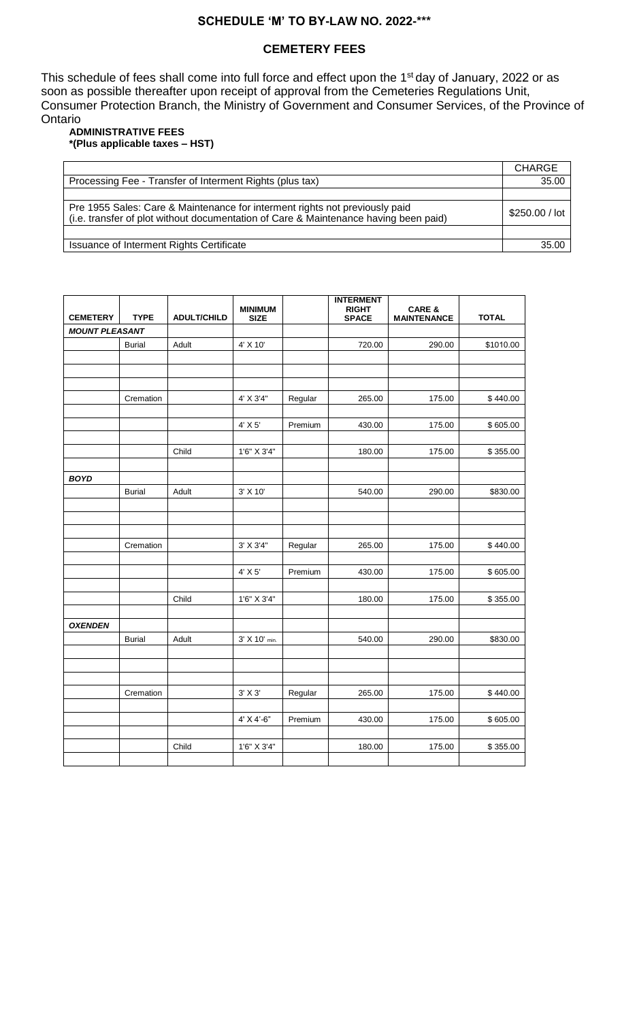## **SCHEDULE 'M' TO BY-LAW NO. 2022-\*\*\***

## **CEMETERY FEES**

This schedule of fees shall come into full force and effect upon the 1<sup>st</sup> day of January, 2022 or as soon as possible thereafter upon receipt of approval from the Cemeteries Regulations Unit, Consumer Protection Branch, the Ministry of Government and Consumer Services, of the Province of Ontario

#### **ADMINISTRATIVE FEES \*(Plus applicable taxes – HST)**

|                                                                                                                                                                     | <b>CHARGE</b>  |
|---------------------------------------------------------------------------------------------------------------------------------------------------------------------|----------------|
| Processing Fee - Transfer of Interment Rights (plus tax)                                                                                                            | 35.00          |
|                                                                                                                                                                     |                |
| Pre 1955 Sales: Care & Maintenance for interment rights not previously paid<br>(i.e. transfer of plot without documentation of Care & Maintenance having been paid) | \$250.00 / lot |
|                                                                                                                                                                     |                |
| Issuance of Interment Rights Certificate                                                                                                                            | 35.00          |

| <b>CEMETERY</b>       | <b>TYPE</b>   | <b>ADULT/CHILD</b> | <b>MINIMUM</b><br><b>SIZE</b> |         | <b>INTERMENT</b><br><b>RIGHT</b><br><b>SPACE</b> | <b>CARE &amp;</b><br><b>MAINTENANCE</b> | <b>TOTAL</b> |
|-----------------------|---------------|--------------------|-------------------------------|---------|--------------------------------------------------|-----------------------------------------|--------------|
| <b>MOUNT PLEASANT</b> |               |                    |                               |         |                                                  |                                         |              |
|                       | <b>Burial</b> | Adult              | 4' X 10'                      |         | 720.00                                           | 290.00                                  | \$1010.00    |
|                       |               |                    |                               |         |                                                  |                                         |              |
|                       |               |                    |                               |         |                                                  |                                         |              |
|                       |               |                    |                               |         |                                                  |                                         |              |
|                       | Cremation     |                    | 4' X 3'4"                     | Regular | 265.00                                           | 175.00                                  | \$440.00     |
|                       |               |                    |                               |         |                                                  |                                         |              |
|                       |               |                    | 4' X 5'                       | Premium | 430.00                                           | 175.00                                  | \$605.00     |
|                       |               |                    |                               |         |                                                  |                                         |              |
|                       |               | Child              | 1'6" X 3'4"                   |         | 180.00                                           | 175.00                                  | \$355.00     |
| <b>BOYD</b>           |               |                    |                               |         |                                                  |                                         |              |
|                       | <b>Burial</b> | Adult              | 3' X 10'                      |         | 540.00                                           | 290.00                                  | \$830.00     |
|                       |               |                    |                               |         |                                                  |                                         |              |
|                       |               |                    |                               |         |                                                  |                                         |              |
|                       |               |                    |                               |         |                                                  |                                         |              |
|                       | Cremation     |                    | $3'$ X $3'4"$                 | Regular | 265.00                                           | 175.00                                  | \$440.00     |
|                       |               |                    |                               |         |                                                  |                                         |              |
|                       |               |                    | 4' X 5'                       | Premium | 430.00                                           | 175.00                                  | \$605.00     |
|                       |               |                    |                               |         |                                                  |                                         |              |
|                       |               | Child              | 1'6" X 3'4"                   |         | 180.00                                           | 175.00                                  | \$355.00     |
| <b>OXENDEN</b>        |               |                    |                               |         |                                                  |                                         |              |
|                       | <b>Burial</b> | Adult              | 3' X 10' min.                 |         | 540.00                                           | 290.00                                  | \$830.00     |
|                       |               |                    |                               |         |                                                  |                                         |              |
|                       |               |                    |                               |         |                                                  |                                         |              |
|                       |               |                    |                               |         |                                                  |                                         |              |
|                       | Cremation     |                    | $3'$ X $3'$                   | Regular | 265.00                                           | 175.00                                  | \$440.00     |
|                       |               |                    |                               |         |                                                  |                                         |              |
|                       |               |                    | $4'$ X $4'$ -6"               | Premium | 430.00                                           | 175.00                                  | \$605.00     |
|                       |               |                    |                               |         |                                                  |                                         |              |
|                       |               | Child              | 1'6" X 3'4"                   |         | 180.00                                           | 175.00                                  | \$355.00     |
|                       |               |                    |                               |         |                                                  |                                         |              |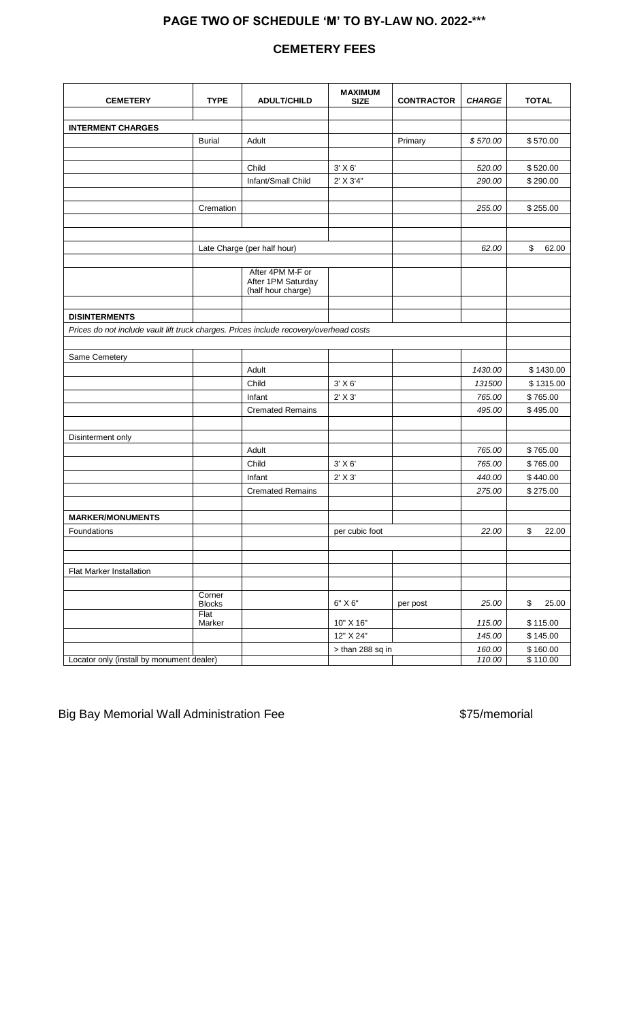# **PAGE TWO OF SCHEDULE 'M' TO BY-LAW NO. 2022-\*\*\***

# **CEMETERY FEES**

| <b>CEMETERY</b>                                                                        | <b>TYPE</b>                     | <b>ADULT/CHILD</b>                                           | <b>MAXIMUM</b><br><b>SIZE</b> | <b>CONTRACTOR</b> | <b>CHARGE</b> | <b>TOTAL</b> |
|----------------------------------------------------------------------------------------|---------------------------------|--------------------------------------------------------------|-------------------------------|-------------------|---------------|--------------|
|                                                                                        |                                 |                                                              |                               |                   |               |              |
| <b>INTERMENT CHARGES</b>                                                               |                                 |                                                              |                               |                   |               |              |
|                                                                                        | <b>Burial</b>                   | Adult                                                        |                               | Primary           | \$570.00      | \$570.00     |
|                                                                                        |                                 |                                                              |                               |                   |               |              |
|                                                                                        |                                 | Child                                                        | $3'$ X $6'$                   |                   | 520.00        | \$520.00     |
|                                                                                        |                                 | Infant/Small Child                                           | 2' X 3'4"                     |                   | 290.00        | \$290.00     |
|                                                                                        |                                 |                                                              |                               |                   |               |              |
|                                                                                        | Cremation                       |                                                              |                               |                   | 255.00        | \$255.00     |
|                                                                                        |                                 |                                                              |                               |                   |               |              |
|                                                                                        |                                 |                                                              |                               |                   |               |              |
|                                                                                        |                                 | Late Charge (per half hour)                                  |                               |                   | 62.00         | \$<br>62.00  |
|                                                                                        |                                 |                                                              |                               |                   |               |              |
|                                                                                        |                                 | After 4PM M-F or<br>After 1PM Saturday<br>(half hour charge) |                               |                   |               |              |
|                                                                                        |                                 |                                                              |                               |                   |               |              |
| <b>DISINTERMENTS</b>                                                                   |                                 |                                                              |                               |                   |               |              |
| Prices do not include vault lift truck charges. Prices include recovery/overhead costs |                                 |                                                              |                               |                   |               |              |
|                                                                                        |                                 |                                                              |                               |                   |               |              |
| Same Cemetery                                                                          |                                 |                                                              |                               |                   |               |              |
|                                                                                        |                                 | Adult                                                        |                               |                   | 1430.00       | \$1430.00    |
|                                                                                        |                                 | Child                                                        | $3'$ X $6'$                   |                   | 131500        | \$1315.00    |
|                                                                                        |                                 | Infant                                                       | $2'$ X $3'$                   |                   | 765.00        | \$765.00     |
|                                                                                        |                                 | <b>Cremated Remains</b>                                      |                               |                   | 495.00        | \$495.00     |
|                                                                                        |                                 |                                                              |                               |                   |               |              |
| Disinterment only                                                                      |                                 |                                                              |                               |                   |               |              |
|                                                                                        |                                 | Adult                                                        |                               |                   | 765.00        | \$765.00     |
|                                                                                        |                                 | Child                                                        | $3'$ X $6'$                   |                   | 765.00        | \$765.00     |
|                                                                                        |                                 | Infant                                                       | 2' X 3'                       |                   | 440.00        | \$440.00     |
|                                                                                        |                                 | <b>Cremated Remains</b>                                      |                               |                   | 275.00        | \$275.00     |
|                                                                                        |                                 |                                                              |                               |                   |               |              |
| <b>MARKER/MONUMENTS</b>                                                                |                                 |                                                              |                               |                   |               |              |
| Foundations                                                                            |                                 |                                                              | per cubic foot                |                   | 22.00         | \$<br>22.00  |
|                                                                                        |                                 |                                                              |                               |                   |               |              |
|                                                                                        |                                 |                                                              |                               |                   |               |              |
| <b>Flat Marker Installation</b>                                                        |                                 |                                                              |                               |                   |               |              |
|                                                                                        |                                 |                                                              |                               |                   |               |              |
|                                                                                        | Corner<br><b>Blocks</b><br>Flat |                                                              | 6" X6"                        | per post          | 25.00         | \$<br>25.00  |
|                                                                                        | Marker                          |                                                              | 10" X 16"                     |                   | 115.00        | \$115.00     |
|                                                                                        |                                 |                                                              | 12" X 24"                     |                   | 145.00        | \$145.00     |
|                                                                                        |                                 |                                                              | $>$ than 288 sq in            |                   | 160.00        | \$160.00     |
| Locator only (install by monument dealer)                                              |                                 |                                                              |                               |                   | 110.00        | \$110.00     |

Big Bay Memorial Wall Administration Fee  $$75/m$ emorial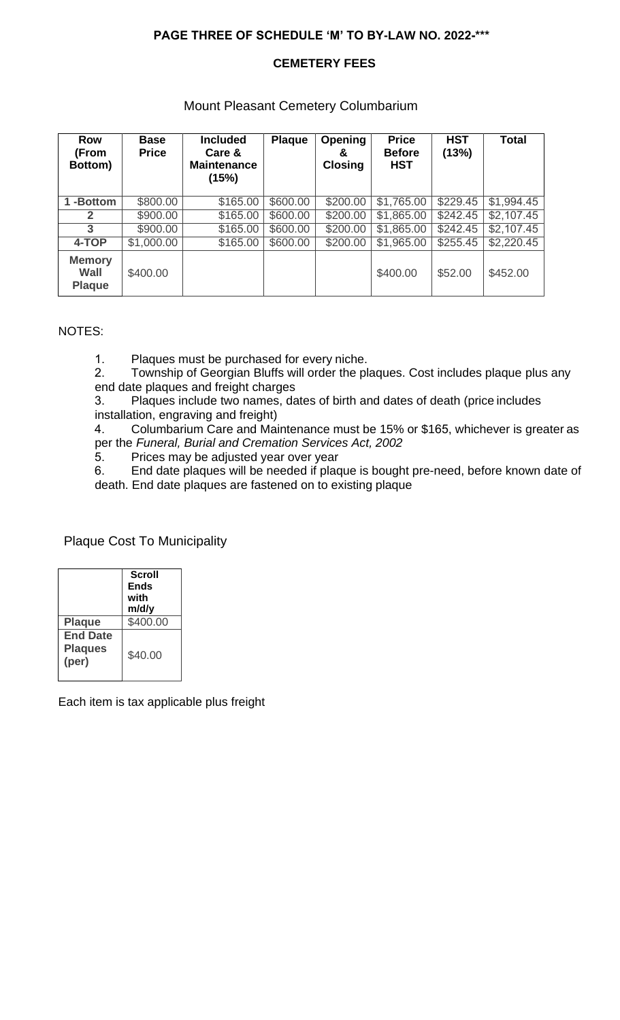# **PAGE THREE OF SCHEDULE 'M' TO BY-LAW NO. 2022-\*\*\***

## **CEMETERY FEES**

### Mount Pleasant Cemetery Columbarium

| <b>Row</b><br>(From<br>Bottom)         | <b>Base</b><br><b>Price</b> | <b>Included</b><br>Care &<br><b>Maintenance</b><br>(15%) | <b>Plaque</b> | <b>Opening</b><br>&<br><b>Closing</b> | <b>Price</b><br><b>Before</b><br><b>HST</b> | <b>HST</b><br>(13%) | <b>Total</b> |
|----------------------------------------|-----------------------------|----------------------------------------------------------|---------------|---------------------------------------|---------------------------------------------|---------------------|--------------|
| -Bottom                                | \$800.00                    | \$165.00                                                 | \$600.00      | \$200.00                              | \$1,765.00                                  | \$229.45            | \$1,994.45   |
| 2                                      | \$900.00                    | \$165.00                                                 | \$600.00      | \$200.00                              | \$1,865.00                                  | \$242.45            | \$2,107.45   |
| 3                                      | \$900.00                    | \$165.00                                                 | \$600.00      | \$200.00                              | \$1,865.00                                  | \$242.45            | \$2,107.45   |
| 4-TOP                                  | \$1,000.00                  | \$165.00                                                 | \$600.00      | \$200.00                              | \$1,965.00                                  | \$255.45            | \$2,220.45   |
| <b>Memory</b><br>Wall<br><b>Plaque</b> | \$400.00                    |                                                          |               |                                       | \$400.00                                    | \$52.00             | \$452.00     |

### NOTES:

1. Plaques must be purchased for every niche.<br>2. Township of Georgian Bluffs will order the pl

2. Township of Georgian Bluffs will order the plaques. Cost includes plaque plus any end date plaques and freight charges

3. Plaques include two names, dates of birth and dates of death (price includes installation, engraving and freight)

4. Columbarium Care and Maintenance must be 15% or \$165, whichever is greater as per the *Funeral, Burial and Cremation Services Act, 2002*

5. Prices may be adjusted year over year<br>6. End date plaques will be needed if plac

End date plaques will be needed if plaque is bought pre-need, before known date of death. End date plaques are fastened on to existing plaque

## Plaque Cost To Municipality

|                                            | <b>Scroll</b><br><b>Ends</b><br>with<br>m/d/y |
|--------------------------------------------|-----------------------------------------------|
| <b>Plaque</b>                              | \$400.00                                      |
| <b>End Date</b><br><b>Plaques</b><br>(per) | \$40.00                                       |

Each item is tax applicable plus freight